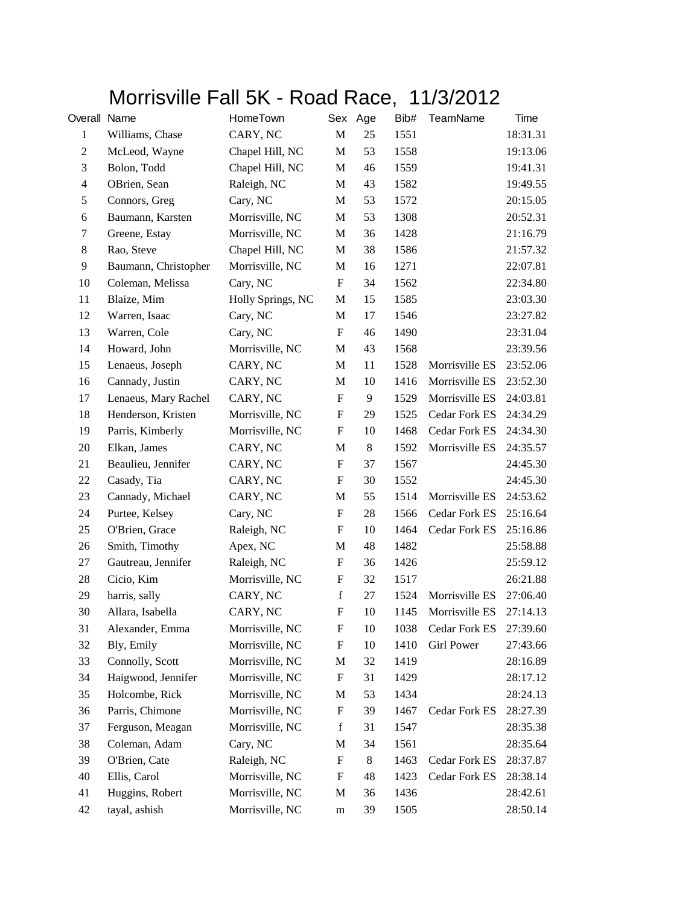## Morrisville Fall 5K - Road Race, 11/3/2012

| Overall Name     |                      | HomeTown          | Sex                       | Age     | Bib# | <b>TeamName</b>      | Time     |
|------------------|----------------------|-------------------|---------------------------|---------|------|----------------------|----------|
| $\mathbf{1}$     | Williams, Chase      | CARY, NC          | $\mathbf M$               | 25      | 1551 |                      | 18:31.31 |
| $\boldsymbol{2}$ | McLeod, Wayne        | Chapel Hill, NC   | $\mathbf{M}$              | 53      | 1558 |                      | 19:13.06 |
| 3                | Bolon, Todd          | Chapel Hill, NC   | M                         | 46      | 1559 |                      | 19:41.31 |
| $\overline{4}$   | OBrien, Sean         | Raleigh, NC       | $\mathbf M$               | 43      | 1582 |                      | 19:49.55 |
| 5                | Connors, Greg        | Cary, NC          | M                         | 53      | 1572 |                      | 20:15.05 |
| 6                | Baumann, Karsten     | Morrisville, NC   | M                         | 53      | 1308 |                      | 20:52.31 |
| 7                | Greene, Estay        | Morrisville, NC   | M                         | 36      | 1428 |                      | 21:16.79 |
| 8                | Rao, Steve           | Chapel Hill, NC   | M                         | 38      | 1586 |                      | 21:57.32 |
| 9                | Baumann, Christopher | Morrisville, NC   | $\mathbf M$               | 16      | 1271 |                      | 22:07.81 |
| 10               | Coleman, Melissa     | Cary, NC          | $\boldsymbol{\mathrm{F}}$ | 34      | 1562 |                      | 22:34.80 |
| 11               | Blaize, Mim          | Holly Springs, NC | M                         | 15      | 1585 |                      | 23:03.30 |
| 12               | Warren, Isaac        | Cary, NC          | M                         | 17      | 1546 |                      | 23:27.82 |
| 13               | Warren, Cole         | Cary, NC          | $\boldsymbol{\mathrm{F}}$ | 46      | 1490 |                      | 23:31.04 |
| 14               | Howard, John         | Morrisville, NC   | $\mathbf{M}$              | 43      | 1568 |                      | 23:39.56 |
| 15               | Lenaeus, Joseph      | CARY, NC          | M                         | 11      | 1528 | Morrisville ES       | 23:52.06 |
| 16               | Cannady, Justin      | CARY, NC          | M                         | 10      | 1416 | Morrisville ES       | 23:52.30 |
| 17               | Lenaeus, Mary Rachel | CARY, NC          | $\boldsymbol{\mathrm{F}}$ | 9       | 1529 | Morrisville ES       | 24:03.81 |
| 18               | Henderson, Kristen   | Morrisville, NC   | $\boldsymbol{\mathrm{F}}$ | 29      | 1525 | Cedar Fork ES        | 24:34.29 |
| 19               | Parris, Kimberly     | Morrisville, NC   | $\mathbf F$               | 10      | 1468 | <b>Cedar Fork ES</b> | 24:34.30 |
| 20               | Elkan, James         | CARY, NC          | M                         | $\,8\,$ | 1592 | Morrisville ES       | 24:35.57 |
| 21               | Beaulieu, Jennifer   | CARY, NC          | $\boldsymbol{\mathrm{F}}$ | 37      | 1567 |                      | 24:45.30 |
| 22               | Casady, Tia          | CARY, NC          | $\boldsymbol{\mathrm{F}}$ | 30      | 1552 |                      | 24:45.30 |
| 23               | Cannady, Michael     | CARY, NC          | M                         | 55      | 1514 | Morrisville ES       | 24:53.62 |
| 24               | Purtee, Kelsey       | Cary, NC          | $\boldsymbol{\mathrm{F}}$ | 28      | 1566 | Cedar Fork ES        | 25:16.64 |
| 25               | O'Brien, Grace       | Raleigh, NC       | $\boldsymbol{\mathrm{F}}$ | 10      | 1464 | <b>Cedar Fork ES</b> | 25:16.86 |
| 26               | Smith, Timothy       | Apex, NC          | $\mathbf{M}$              | 48      | 1482 |                      | 25:58.88 |
| 27               | Gautreau, Jennifer   | Raleigh, NC       | F                         | 36      | 1426 |                      | 25:59.12 |
| 28               | Cicio, Kim           | Morrisville, NC   | $\boldsymbol{\mathrm{F}}$ | 32      | 1517 |                      | 26:21.88 |
| 29               | harris, sally        | CARY, NC          | $\mathbf f$               | 27      | 1524 | Morrisville ES       | 27:06.40 |
| 30               | Allara, Isabella     | CARY, NC          | $\boldsymbol{\mathrm{F}}$ | 10      | 1145 | Morrisville ES       | 27:14.13 |
| 31               | Alexander, Emma      | Morrisville, NC   | F                         | $10\,$  | 1038 | Cedar Fork ES        | 27:39.60 |
| 32               | Bly, Emily           | Morrisville, NC   | F                         | 10      | 1410 | <b>Girl Power</b>    | 27:43.66 |
| 33               | Connolly, Scott      | Morrisville, NC   | M                         | 32      | 1419 |                      | 28:16.89 |
| 34               | Haigwood, Jennifer   | Morrisville, NC   | ${\bf F}$                 | 31      | 1429 |                      | 28:17.12 |
| 35               | Holcombe, Rick       | Morrisville, NC   | M                         | 53      | 1434 |                      | 28:24.13 |
| 36               | Parris, Chimone      | Morrisville, NC   | F                         | 39      | 1467 | Cedar Fork ES        | 28:27.39 |
| 37               | Ferguson, Meagan     | Morrisville, NC   | $\mathbf f$               | 31      | 1547 |                      | 28:35.38 |
| 38               | Coleman, Adam        | Cary, NC          | M                         | 34      | 1561 |                      | 28:35.64 |
| 39               | O'Brien, Cate        | Raleigh, NC       | ${\bf F}$                 | 8       | 1463 | Cedar Fork ES        | 28:37.87 |
| 40               | Ellis, Carol         | Morrisville, NC   | F                         | 48      | 1423 | Cedar Fork ES        | 28:38.14 |
| 41               | Huggins, Robert      | Morrisville, NC   | M                         | 36      | 1436 |                      | 28:42.61 |
| 42               | tayal, ashish        | Morrisville, NC   | ${\rm m}$                 | 39      | 1505 |                      | 28:50.14 |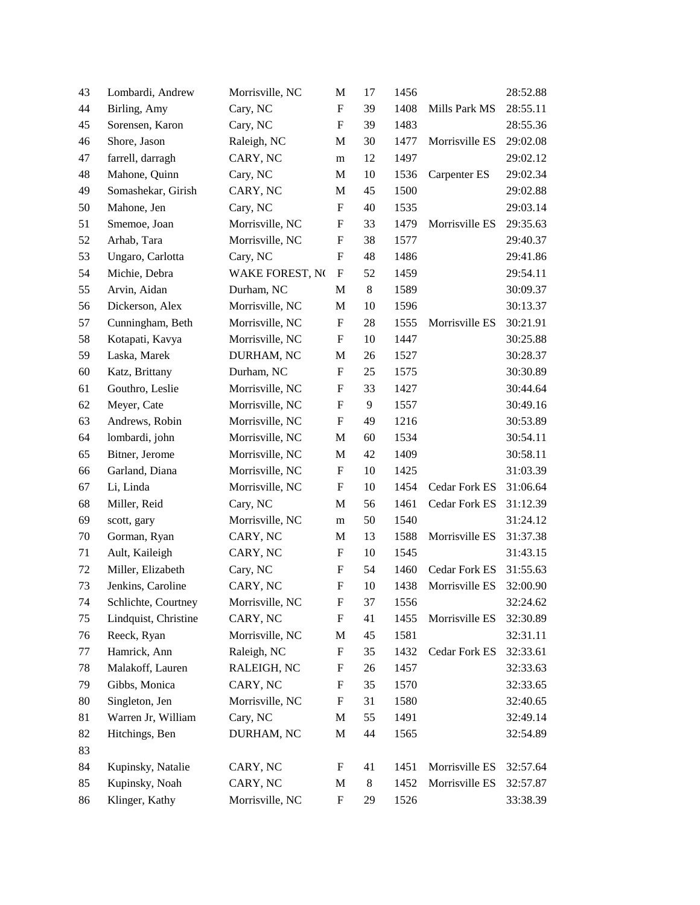| 43     | Lombardi, Andrew     | Morrisville, NC | M                         | 17    | 1456 |                | 28:52.88 |
|--------|----------------------|-----------------|---------------------------|-------|------|----------------|----------|
| 44     | Birling, Amy         | Cary, NC        | F                         | 39    | 1408 | Mills Park MS  | 28:55.11 |
| 45     | Sorensen, Karon      | Cary, NC        | $\mathbf F$               | 39    | 1483 |                | 28:55.36 |
| 46     | Shore, Jason         | Raleigh, NC     | M                         | 30    | 1477 | Morrisville ES | 29:02.08 |
| 47     | farrell, darragh     | CARY, NC        | m                         | 12    | 1497 |                | 29:02.12 |
| 48     | Mahone, Quinn        | Cary, NC        | M                         | 10    | 1536 | Carpenter ES   | 29:02.34 |
| 49     | Somashekar, Girish   | CARY, NC        | M                         | 45    | 1500 |                | 29:02.88 |
| 50     | Mahone, Jen          | Cary, NC        | F                         | 40    | 1535 |                | 29:03.14 |
| 51     | Smemoe, Joan         | Morrisville, NC | F                         | 33    | 1479 | Morrisville ES | 29:35.63 |
| 52     | Arhab, Tara          | Morrisville, NC | $\boldsymbol{\mathrm{F}}$ | 38    | 1577 |                | 29:40.37 |
| 53     | Ungaro, Carlotta     | Cary, NC        | $\mathbf F$               | 48    | 1486 |                | 29:41.86 |
| 54     | Michie, Debra        | WAKE FOREST, NO | F                         | 52    | 1459 |                | 29:54.11 |
| 55     | Arvin, Aidan         | Durham, NC      | $\mathbf M$               | $8\,$ | 1589 |                | 30:09.37 |
| 56     | Dickerson, Alex      | Morrisville, NC | M                         | 10    | 1596 |                | 30:13.37 |
| 57     | Cunningham, Beth     | Morrisville, NC | ${\bf F}$                 | 28    | 1555 | Morrisville ES | 30:21.91 |
| 58     | Kotapati, Kavya      | Morrisville, NC | ${\bf F}$                 | 10    | 1447 |                | 30:25.88 |
| 59     | Laska, Marek         | DURHAM, NC      | M                         | 26    | 1527 |                | 30:28.37 |
| 60     | Katz, Brittany       | Durham, NC      | $\boldsymbol{\mathrm{F}}$ | 25    | 1575 |                | 30:30.89 |
| 61     | Gouthro, Leslie      | Morrisville, NC | F                         | 33    | 1427 |                | 30:44.64 |
| 62     | Meyer, Cate          | Morrisville, NC | $\boldsymbol{\mathrm{F}}$ | 9     | 1557 |                | 30:49.16 |
| 63     | Andrews, Robin       | Morrisville, NC | $\boldsymbol{\mathrm{F}}$ | 49    | 1216 |                | 30:53.89 |
| 64     | lombardi, john       | Morrisville, NC | M                         | 60    | 1534 |                | 30:54.11 |
| 65     | Bitner, Jerome       | Morrisville, NC | $\mathbf M$               | 42    | 1409 |                | 30:58.11 |
| 66     | Garland, Diana       | Morrisville, NC | F                         | 10    | 1425 |                | 31:03.39 |
| 67     | Li, Linda            | Morrisville, NC | F                         | 10    | 1454 | Cedar Fork ES  | 31:06.64 |
| 68     | Miller, Reid         | Cary, NC        | M                         | 56    | 1461 | Cedar Fork ES  | 31:12.39 |
| 69     | scott, gary          | Morrisville, NC | m                         | 50    | 1540 |                | 31:24.12 |
| $70\,$ | Gorman, Ryan         | CARY, NC        | $\mathbf M$               | 13    | 1588 | Morrisville ES | 31:37.38 |
| 71     | Ault, Kaileigh       | CARY, NC        | F                         | 10    | 1545 |                | 31:43.15 |
| 72     | Miller, Elizabeth    | Cary, NC        | F                         | 54    | 1460 | Cedar Fork ES  | 31:55.63 |
| 73     | Jenkins, Caroline    | CARY, NC        | $\boldsymbol{\mathrm{F}}$ | 10    | 1438 | Morrisville ES | 32:00.90 |
| 74     | Schlichte, Courtney  | Morrisville, NC | F                         | 37    | 1556 |                | 32:24.62 |
| 75     | Lindquist, Christine | CARY, NC        | $\boldsymbol{\mathrm{F}}$ | 41    | 1455 | Morrisville ES | 32:30.89 |
| 76     | Reeck, Ryan          | Morrisville, NC | M                         | 45    | 1581 |                | 32:31.11 |
| 77     | Hamrick, Ann         | Raleigh, NC     | $\boldsymbol{\mathrm{F}}$ | 35    | 1432 | Cedar Fork ES  | 32:33.61 |
| 78     | Malakoff, Lauren     | RALEIGH, NC     | F                         | 26    | 1457 |                | 32:33.63 |
| 79     | Gibbs, Monica        | CARY, NC        | F                         | 35    | 1570 |                | 32:33.65 |
| 80     | Singleton, Jen       | Morrisville, NC | ${\bf F}$                 | 31    | 1580 |                | 32:40.65 |
| 81     | Warren Jr, William   | Cary, NC        | M                         | 55    | 1491 |                | 32:49.14 |
| 82     | Hitchings, Ben       | DURHAM, NC      | M                         | 44    | 1565 |                | 32:54.89 |
| 83     |                      |                 |                           |       |      |                |          |
| 84     | Kupinsky, Natalie    | CARY, NC        | F                         | 41    | 1451 | Morrisville ES | 32:57.64 |
| 85     | Kupinsky, Noah       | CARY, NC        | M                         | $8\,$ | 1452 | Morrisville ES | 32:57.87 |
| 86     | Klinger, Kathy       | Morrisville, NC | F                         | 29    | 1526 |                | 33:38.39 |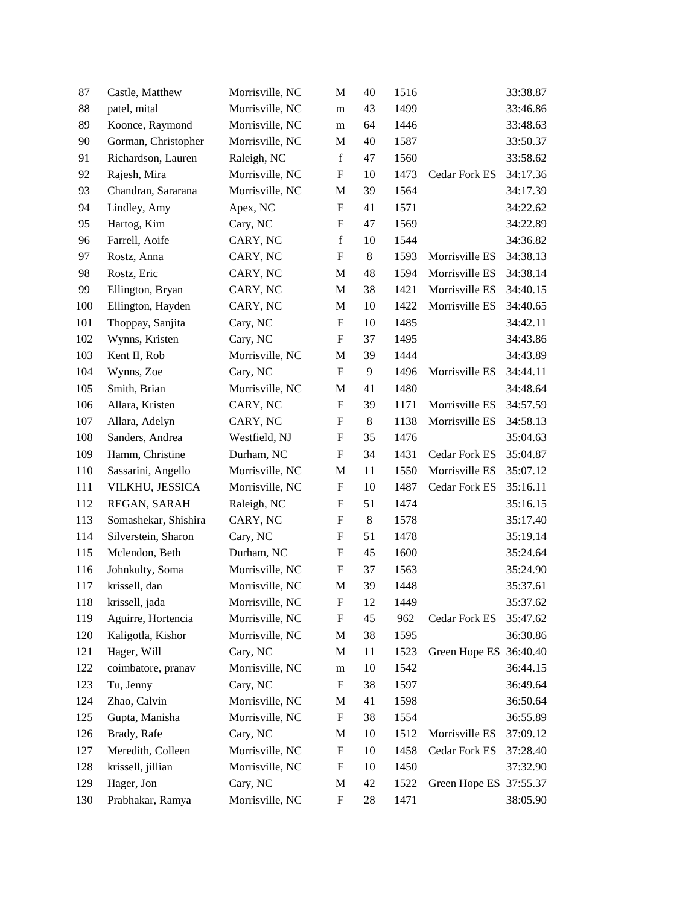| 87  | Castle, Matthew      | Morrisville, NC | M                         | 40    | 1516 |                        | 33:38.87 |
|-----|----------------------|-----------------|---------------------------|-------|------|------------------------|----------|
| 88  | patel, mital         | Morrisville, NC | m                         | 43    | 1499 |                        | 33:46.86 |
| 89  | Koonce, Raymond      | Morrisville, NC | m                         | 64    | 1446 |                        | 33:48.63 |
| 90  | Gorman, Christopher  | Morrisville, NC | M                         | 40    | 1587 |                        | 33:50.37 |
| 91  | Richardson, Lauren   | Raleigh, NC     | $\mathbf f$               | 47    | 1560 |                        | 33:58.62 |
| 92  | Rajesh, Mira         | Morrisville, NC | ${\bf F}$                 | 10    | 1473 | Cedar Fork ES          | 34:17.36 |
| 93  | Chandran, Sararana   | Morrisville, NC | M                         | 39    | 1564 |                        | 34:17.39 |
| 94  | Lindley, Amy         | Apex, NC        | ${\bf F}$                 | 41    | 1571 |                        | 34:22.62 |
| 95  | Hartog, Kim          | Cary, NC        | ${\bf F}$                 | 47    | 1569 |                        | 34:22.89 |
| 96  | Farrell, Aoife       | CARY, NC        | $\mathbf f$               | 10    | 1544 |                        | 34:36.82 |
| 97  | Rostz, Anna          | CARY, NC        | ${\bf F}$                 | $8\,$ | 1593 | Morrisville ES         | 34:38.13 |
| 98  | Rostz, Eric          | CARY, NC        | M                         | 48    | 1594 | Morrisville ES         | 34:38.14 |
| 99  | Ellington, Bryan     | CARY, NC        | $\mathbf M$               | 38    | 1421 | Morrisville ES         | 34:40.15 |
| 100 | Ellington, Hayden    | CARY, NC        | M                         | 10    | 1422 | Morrisville ES         | 34:40.65 |
| 101 | Thoppay, Sanjita     | Cary, NC        | $\boldsymbol{\mathrm{F}}$ | 10    | 1485 |                        | 34:42.11 |
| 102 | Wynns, Kristen       | Cary, NC        | $\boldsymbol{\mathrm{F}}$ | 37    | 1495 |                        | 34:43.86 |
| 103 | Kent II, Rob         | Morrisville, NC | M                         | 39    | 1444 |                        | 34:43.89 |
| 104 | Wynns, Zoe           | Cary, NC        | $\boldsymbol{\mathrm{F}}$ | 9     | 1496 | Morrisville ES         | 34:44.11 |
| 105 | Smith, Brian         | Morrisville, NC | M                         | 41    | 1480 |                        | 34:48.64 |
| 106 | Allara, Kristen      | CARY, NC        | $\boldsymbol{\mathrm{F}}$ | 39    | 1171 | Morrisville ES         | 34:57.59 |
| 107 | Allara, Adelyn       | CARY, NC        | $\boldsymbol{\mathrm{F}}$ | $8\,$ | 1138 | Morrisville ES         | 34:58.13 |
| 108 | Sanders, Andrea      | Westfield, NJ   | F                         | 35    | 1476 |                        | 35:04.63 |
| 109 | Hamm, Christine      | Durham, NC      | $\boldsymbol{\mathrm{F}}$ | 34    | 1431 | Cedar Fork ES          | 35:04.87 |
| 110 | Sassarini, Angello   | Morrisville, NC | M                         | 11    | 1550 | Morrisville ES         | 35:07.12 |
| 111 | VILKHU, JESSICA      | Morrisville, NC | $\mathbf F$               | 10    | 1487 | Cedar Fork ES          | 35:16.11 |
| 112 | REGAN, SARAH         | Raleigh, NC     | $\boldsymbol{\mathrm{F}}$ | 51    | 1474 |                        | 35:16.15 |
| 113 | Somashekar, Shishira | CARY, NC        | F                         | $8\,$ | 1578 |                        | 35:17.40 |
| 114 | Silverstein, Sharon  | Cary, NC        | $\boldsymbol{\mathrm{F}}$ | 51    | 1478 |                        | 35:19.14 |
| 115 | Mclendon, Beth       | Durham, NC      | F                         | 45    | 1600 |                        | 35:24.64 |
| 116 | Johnkulty, Soma      | Morrisville, NC | $\mathbf F$               | 37    | 1563 |                        | 35:24.90 |
| 117 | krissell, dan        | Morrisville, NC | M                         | 39    | 1448 |                        | 35:37.61 |
| 118 | krissell, jada       | Morrisville, NC | F                         | 12    | 1449 |                        | 35:37.62 |
| 119 | Aguirre, Hortencia   | Morrisville, NC | $\boldsymbol{\mathrm{F}}$ | 45    | 962  | Cedar Fork ES          | 35:47.62 |
| 120 | Kaligotla, Kishor    | Morrisville, NC | M                         | 38    | 1595 |                        | 36:30.86 |
| 121 | Hager, Will          | Cary, NC        | M                         | 11    | 1523 | Green Hope ES 36:40.40 |          |
| 122 | coimbatore, pranav   | Morrisville, NC | m                         | 10    | 1542 |                        | 36:44.15 |
| 123 | Tu, Jenny            | Cary, NC        | $\boldsymbol{\mathrm{F}}$ | 38    | 1597 |                        | 36:49.64 |
| 124 | Zhao, Calvin         | Morrisville, NC | M                         | 41    | 1598 |                        | 36:50.64 |
| 125 | Gupta, Manisha       | Morrisville, NC | F                         | 38    | 1554 |                        | 36:55.89 |
| 126 | Brady, Rafe          | Cary, NC        | M                         | 10    | 1512 | Morrisville ES         | 37:09.12 |
| 127 | Meredith, Colleen    | Morrisville, NC | $\boldsymbol{\mathrm{F}}$ | 10    | 1458 | Cedar Fork ES          | 37:28.40 |
| 128 | krissell, jillian    | Morrisville, NC | F                         | 10    | 1450 |                        | 37:32.90 |
| 129 | Hager, Jon           | Cary, NC        | $\mathbf M$               | 42    | 1522 | Green Hope ES          | 37:55.37 |
| 130 | Prabhakar, Ramya     | Morrisville, NC | F                         | 28    | 1471 |                        | 38:05.90 |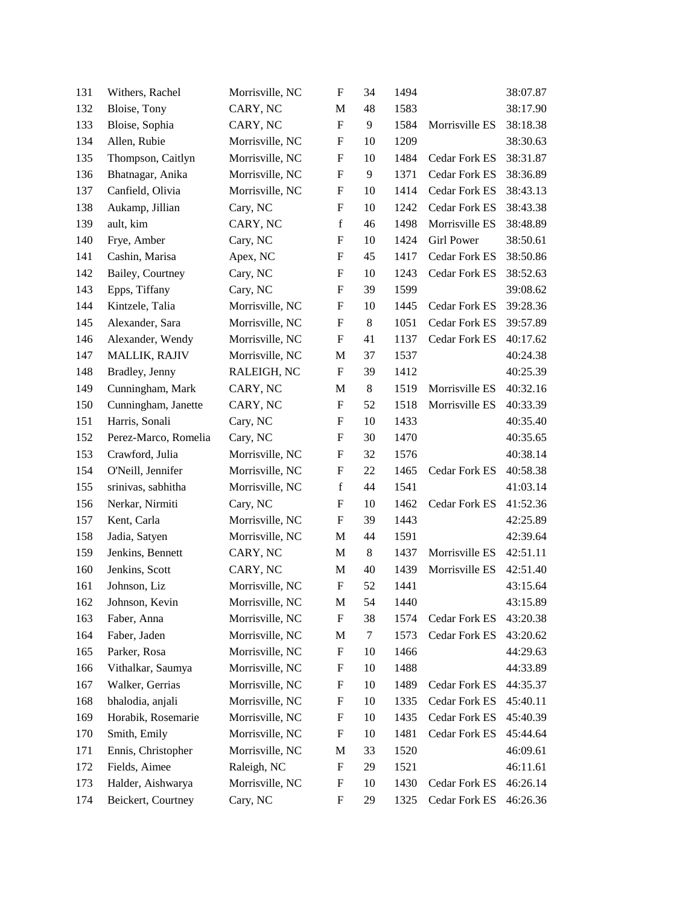| 131 | Withers, Rachel      | Morrisville, NC | $\boldsymbol{\mathrm{F}}$ | 34     | 1494 |                   | 38:07.87 |
|-----|----------------------|-----------------|---------------------------|--------|------|-------------------|----------|
| 132 | Bloise, Tony         | CARY, NC        | M                         | 48     | 1583 |                   | 38:17.90 |
| 133 | Bloise, Sophia       | CARY, NC        | $\boldsymbol{\mathrm{F}}$ | 9      | 1584 | Morrisville ES    | 38:18.38 |
| 134 | Allen, Rubie         | Morrisville, NC | F                         | 10     | 1209 |                   | 38:30.63 |
| 135 | Thompson, Caitlyn    | Morrisville, NC | $\boldsymbol{\mathrm{F}}$ | 10     | 1484 | Cedar Fork ES     | 38:31.87 |
| 136 | Bhatnagar, Anika     | Morrisville, NC | ${\bf F}$                 | 9      | 1371 | Cedar Fork ES     | 38:36.89 |
| 137 | Canfield, Olivia     | Morrisville, NC | F                         | 10     | 1414 | Cedar Fork ES     | 38:43.13 |
| 138 | Aukamp, Jillian      | Cary, NC        | F                         | 10     | 1242 | Cedar Fork ES     | 38:43.38 |
| 139 | ault, kim            | CARY, NC        | $\mathbf f$               | 46     | 1498 | Morrisville ES    | 38:48.89 |
| 140 | Frye, Amber          | Cary, NC        | $\boldsymbol{\mathrm{F}}$ | 10     | 1424 | <b>Girl Power</b> | 38:50.61 |
| 141 | Cashin, Marisa       | Apex, NC        | $\boldsymbol{\mathrm{F}}$ | 45     | 1417 | Cedar Fork ES     | 38:50.86 |
| 142 | Bailey, Courtney     | Cary, NC        | F                         | 10     | 1243 | Cedar Fork ES     | 38:52.63 |
| 143 | Epps, Tiffany        | Cary, NC        | F                         | 39     | 1599 |                   | 39:08.62 |
| 144 | Kintzele, Talia      | Morrisville, NC | F                         | 10     | 1445 | Cedar Fork ES     | 39:28.36 |
| 145 | Alexander, Sara      | Morrisville, NC | $\boldsymbol{\mathrm{F}}$ | 8      | 1051 | Cedar Fork ES     | 39:57.89 |
| 146 | Alexander, Wendy     | Morrisville, NC | $\boldsymbol{\mathrm{F}}$ | 41     | 1137 | Cedar Fork ES     | 40:17.62 |
| 147 | <b>MALLIK, RAJIV</b> | Morrisville, NC | M                         | 37     | 1537 |                   | 40:24.38 |
| 148 | Bradley, Jenny       | RALEIGH, NC     | $\boldsymbol{\mathrm{F}}$ | 39     | 1412 |                   | 40:25.39 |
| 149 | Cunningham, Mark     | CARY, NC        | M                         | $8\,$  | 1519 | Morrisville ES    | 40:32.16 |
| 150 | Cunningham, Janette  | CARY, NC        | $\boldsymbol{\mathrm{F}}$ | 52     | 1518 | Morrisville ES    | 40:33.39 |
| 151 | Harris, Sonali       | Cary, NC        | $\mathbf F$               | 10     | 1433 |                   | 40:35.40 |
| 152 | Perez-Marco, Romelia | Cary, NC        | F                         | 30     | 1470 |                   | 40:35.65 |
| 153 | Crawford, Julia      | Morrisville, NC | F                         | 32     | 1576 |                   | 40:38.14 |
| 154 | O'Neill, Jennifer    | Morrisville, NC | F                         | 22     | 1465 | Cedar Fork ES     | 40:58.38 |
| 155 | srinivas, sabhitha   | Morrisville, NC | $\mathbf f$               | 44     | 1541 |                   | 41:03.14 |
| 156 | Nerkar, Nirmiti      | Cary, NC        | $\boldsymbol{\mathrm{F}}$ | 10     | 1462 | Cedar Fork ES     | 41:52.36 |
| 157 | Kent, Carla          | Morrisville, NC | $\boldsymbol{\mathrm{F}}$ | 39     | 1443 |                   | 42:25.89 |
| 158 | Jadia, Satyen        | Morrisville, NC | M                         | 44     | 1591 |                   | 42:39.64 |
| 159 | Jenkins, Bennett     | CARY, NC        | M                         | $8\,$  | 1437 | Morrisville ES    | 42:51.11 |
| 160 | Jenkins, Scott       | CARY, NC        | M                         | 40     | 1439 | Morrisville ES    | 42:51.40 |
| 161 | Johnson, Liz         | Morrisville, NC | $\boldsymbol{\mathrm{F}}$ | 52     | 1441 |                   | 43:15.64 |
| 162 | Johnson, Kevin       | Morrisville, NC | M                         | 54     | 1440 |                   | 43:15.89 |
| 163 | Faber, Anna          | Morrisville, NC | F                         | 38     | 1574 | Cedar Fork ES     | 43:20.38 |
| 164 | Faber, Jaden         | Morrisville, NC | M                         | $\tau$ | 1573 | Cedar Fork ES     | 43:20.62 |
| 165 | Parker, Rosa         | Morrisville, NC | F                         | 10     | 1466 |                   | 44:29.63 |
| 166 | Vithalkar, Saumya    | Morrisville, NC | $\mathbf F$               | 10     | 1488 |                   | 44:33.89 |
| 167 | Walker, Gerrias      | Morrisville, NC | F                         | 10     | 1489 | Cedar Fork ES     | 44:35.37 |
| 168 | bhalodia, anjali     | Morrisville, NC | $\mathbf F$               | 10     | 1335 | Cedar Fork ES     | 45:40.11 |
| 169 | Horabik, Rosemarie   | Morrisville, NC | F                         | 10     | 1435 | Cedar Fork ES     | 45:40.39 |
| 170 | Smith, Emily         | Morrisville, NC | F                         | 10     | 1481 | Cedar Fork ES     | 45:44.64 |
| 171 | Ennis, Christopher   | Morrisville, NC | M                         | 33     | 1520 |                   | 46:09.61 |
| 172 | Fields, Aimee        | Raleigh, NC     | F                         | 29     | 1521 |                   | 46:11.61 |
| 173 | Halder, Aishwarya    | Morrisville, NC | $\mathbf F$               | 10     | 1430 | Cedar Fork ES     | 46:26.14 |
| 174 | Beickert, Courtney   | Cary, NC        | F                         | 29     | 1325 | Cedar Fork ES     | 46:26.36 |